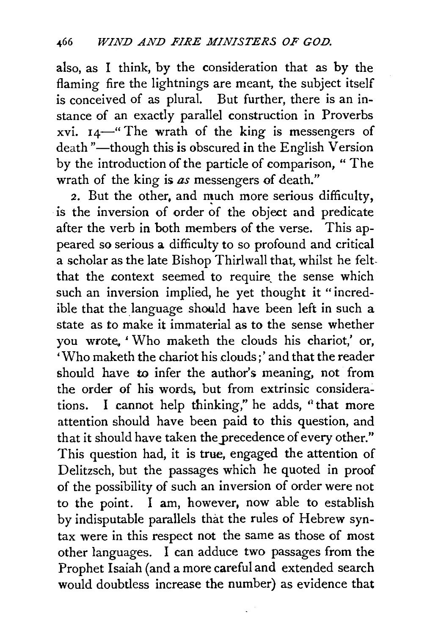also, as I think, by the consideration that as by the flaming fire the lightnings are meant, the subject itself is conceived of as plural. But further, there is an instance of an exactly parallel construction in Proverbs xvi.  $14$ —" The wrath of the king is messengers of death "-though this is obscured in the English Version by the introduction of the particle of comparison, " The wrath of the king is *as* messengers of death."

2. But the other, and much more serious difficulty, is the inversion of order of the object and predicate after the verb in both members of the verse. This appeared so serious a difficulty to so profound and critical a scholar as the late Bishop Thirlwall that, whilst he feltthat the context seemed to require the sense which such an inversion implied, he yet thought it "incredible that the language should have been left in such a state as to make it immaterial as to the sense whether you wrote. ' Who maketh the clouds his chariot,' or, 'Who maketh the chariot his clouds:' and that the reader should have to infer the author's meaning, not from the order of his words, but from extrinsic considerations. I cannot help thinking," he adds,  $\alpha$  that more attention should have been paid to this question, and that it should have taken the precedence of every other." This question had, it is true, engaged the attention of Delitzsch, but the passages which he quoted in proof of the possibility of such an inversion of order were not to the point. I am, however, now able to establish by indisputable parallels that the rules of Hebrew syntax were in this respect not the same as those of most other languages. I can adduce two passages from the Prophet Isaiah (and a more careful and extended search would doubtless increase the number) as evidence that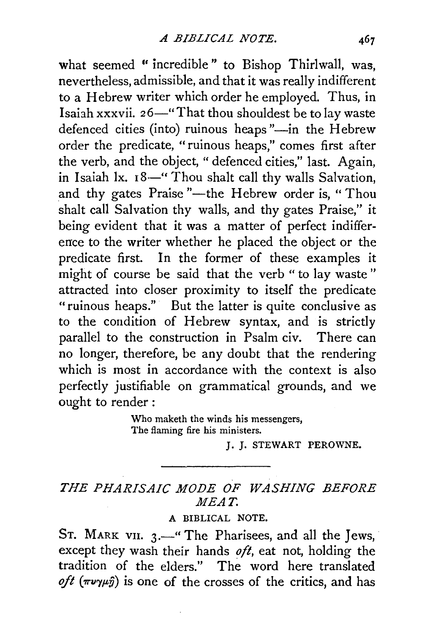what seemed "incredible" to Bishop Thirlwall, was, nevertheless, admissible, and that it was really indifferent to a Hebrew writer which order he employed. Thus, in Isaiah xxxvii. 26-" That thou shouldest be to lay waste defenced cities (into) ruinous heaps "-in the Hebrew order the predicate, "ruinous heaps," comes first after the verb, and the object, " defenced cities," last. Again, in Isaiah lx. 18-" Thou shalt call thy walls Salvation, and thy gates Praise "-the Hebrew order is, "Thou shalt call Salvation thy walls, and thy gates Praise," it being evident that it was a matter of perfect indifference to the writer whether he placed the object or the predicate first. In the former of these examples it might of course be said that the verb " to lay waste " attracted into closer proximity to itself the predicate "ruinous heaps." But the latter is quite conclusive as to the condition of Hebrew syntax, and is strictly parallel to the construction in Psalm civ. There can no longer, therefore, be any doubt that the rendering which is most in accordance with the context is also perfectly justifiable on grammatical grounds, and we ought to render :

> Who maketh the winds his messengers, The flaming fire his ministers.

> > J. J. STEWART PEROWNE.

## *THE PHARISAIC MODE OF WASHING BEFORE MEAT.*

## A BIBLICAL NOTE.

ST. MARK VII.  $3.$ -" The Pharisees, and all the Jews, except they wash their hands *oft,* eat not, holding the tradition of the elders." The word here translated *oft* ( $\pi\nu\gamma\mu\hat{j}$ ) is one of the crosses of the critics, and has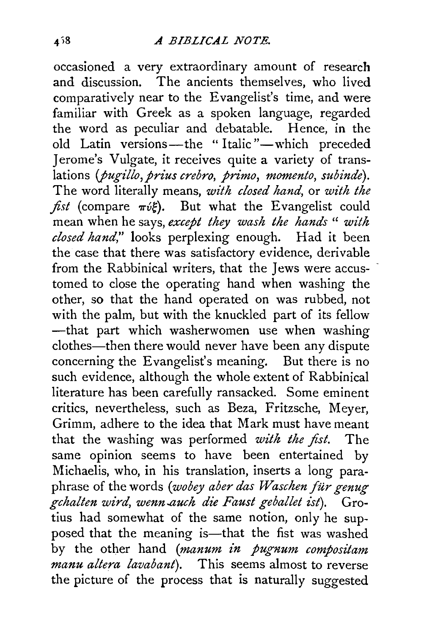occasioned a very extraordinary amount of research and discussion. The ancients themselves, who lived comparatively near to the Evangelist's time, and were familiar with Greek as a spoken language, regarded the word as peculiar and debatable. Hence, in the old Latin versions-the "Italic"-which preceded Jerome's Vulgate, it receives quite a variety of translations (*pugillo, prius crebro, primo, momento, subinde*). The word literally means, *with closed hand,* or *with the fist* (compare  $\pi \nu \varepsilon$ ). But what the Evangelist could mean when he says, *except they wash the hands* '' *with closed hand,"* looks perplexing enough. Had it been the case that there was satisfactory evidence, derivable from the Rabbinical writers, that the Jews were accustomed to close the operating hand when washing the other, so that the hand operated on was rubbed, not with the palm, but with the knuckled part of its fellow -that part which washerwomen use when washing clothes—then there would never have been any dispute concerning the Evangelist's meaning. But there is no such evidence, although the whole extent of Rabbinical literature has been carefully ransacked. Some eminent critics, nevertheless, such as Beza, Fritzsche, Meyer, Grimm, adhere to the idea that Mark must have meant that the washing was performed *with the fist.* The same opinion seems to have been entertained by Michaelis, who, in his translation, inserts a long paraphrase of the words ( *wobey aber das Waschen fur genug gchalten wird, wenn..auch die Faust geballet ist).* Grotius had somewhat of the same notion, only he supposed that the meaning is-that the fist was washed by the other hand *(manum in pugnum compositam manu altera lavabant*). This seems almost to reverse the picture of the process that is naturally suggested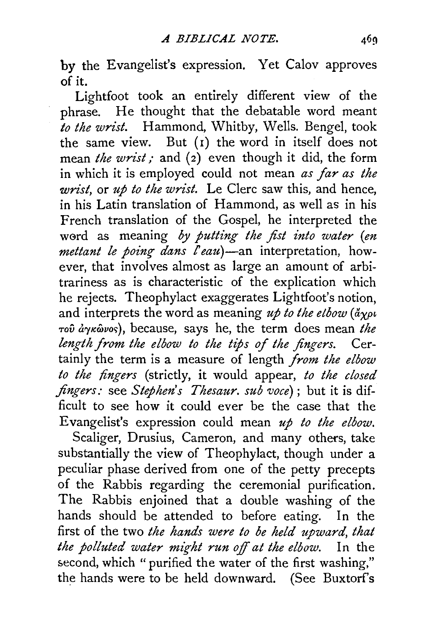by the Evangelist's expression. Yet Calov approves of it.

Lightfoot took an entirely different view of the phrase. He thought that the debatable word meant *to the wrist.* Hammond, Whitby, Wells. Bengel, took the same view. But (1) the word in itself does not mean *the wrist;* and (2) even though it did, the form in which it is employed could not mean *as far as the wrist,* or *up to the wrist.* Le Clerc saw this, and hence, in his Latin translation of Hammond, as well as in his French translation of the Gospel, he interpreted the w0rd as meaning *by putting the fist into water (en mettant le poing dans l'eau*)-an interpretation, however, that involves almost as large an amount of arbitrariness as is characteristic of the explication which he rejects. Theophylact exaggerates Lightfoot's notion, and interprets the word as meaning  $u\phi$  to the etbow  $(\frac{\partial \phi}{\partial x})$ *TOV arytcwvor;),* because, says he, the term does mean *the length from the elbow to the tips of the fingers.* Certainly the term is a measure of length *from the elbow to the lingers* (strictly, it would appear, *to the closed .fingers:* see *Step hen's Thesaur. sub voce)* ; but it is difficult to see how it could ever be the case that the Evangelist's expression could mean *up to the elbow.* 

Scaliger, Drusius, Cameron, and many others, take substantially the view of Theophylact, though under a peculiar phase derived from one of the petty precepts of the Rabbis regarding the ceremonial purification. The Rabbis enjoined that a double washing of the hands should be attended to before eating. In the first of the two *the hands were to be held upward, that the polluted water might run off at the elbow.* In the second, which "purified the water of the first washing," the hands were to be held downward. (See Buxtorf's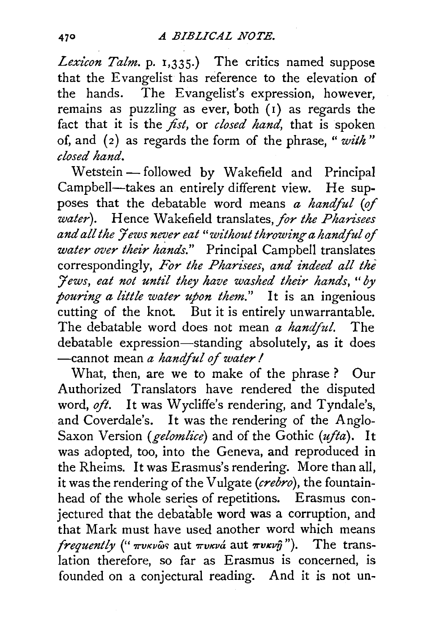Lexicon Talm. p. 1,335.) The critics named suppose that the Evangelist has reference to the elevation of the hands. The Evangelist's expression, however, remains as puzzling as ever, both  $(i)$  as regards the fact that it is the *fist*, or *closed hand*, that is spoken of, and ( 2) as regards the form of the phrase, " *with* " *closed hand.* 

Wetstein - followed by Wakefield and Principal Campbell-takes an entirely different view. He supposes that the debatable word means *a handful (of water).* Hence Wakefield translates, *for the Pharisees and all the 7 ews never eat "without throwing a handful of water over their hands."* Principal Campbell translates correspondingly, *For the Pharisees, and indeed all the :Jews, eat not unt£1 they have washed their hands, "by pouring a little water upon them.*" It is an ingenious cutting of the knot. But it is entirely unwarrantable. The debatable word does not mean *a handful.* The debatable expression-standing absolutely, as it does -cannot mean *a handful of water I* 

What, then, are we to make of the phrase ? Our Authorized Translators have rendered the disputed word, oft. It was Wycliffe's rendering, and Tyndale's, and Coverdale's. It was the rendering of the Anglo-Saxon Version *(gelomlice)* and of the Gothic *(ufla).* It was adopted, too, into the Geneva, and reproduced in the Rheims. It was Erasmus's rendering. More than all, it was the rendering of the Vulgate *(crebro),* the fountainhead of the whole series of repetitions. Erasmus conjectured that the debatable word was a corruption, and that Mark must have used another word which means *frequently* (" $\pi v \kappa v \hat{\omega} s$  aut  $\pi v \kappa v \hat{\omega}$  aut  $\pi v \kappa v \hat{\eta}$ "). The translation therefore, so far as Erasmus is concerned, is founded on a conjectural reading. And it is not un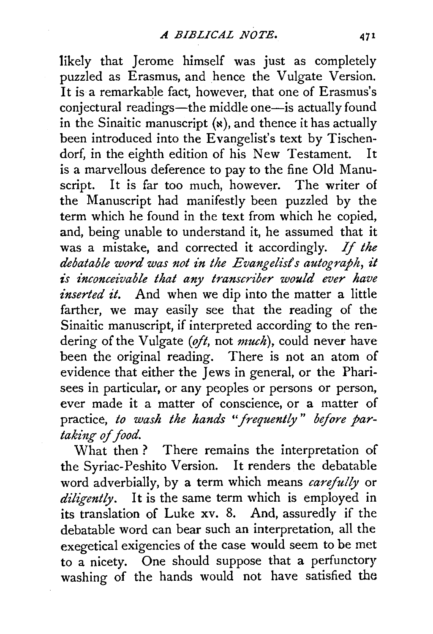likely that Jerome himself was just as completely puzzled as Erasmus, and hence the Vulgate Version. It is a remarkable fact, however, that one of Erasmus's conjectural readings—the middle one—is actually found in the Sinaitic manuscript  $(x)$ , and thence it has actually been introduced into the Evangelist's text by Tischendorf, in the eighth edition of his New Testament. It is a marvellous deference to pay to the fine Old Manuscript. It is far too much, however. The writer of the Manuscript had manifestly been puzzled by the term which he found in the text from which he copied, and, being unable to understand it, he assumed that it was a mistake, and corrected it accordingly. If *the debatable word was not in the Evangelist's autograph, it is inconceivable that any transcriber would ever have inserted it.* And when we dip into the matter a little farther, we may easily see that the reading of the Sinaitic manuscript, if interpreted according to the rendering of the Vulgate *(oft,* not *much),* could never have been the original reading. There is not an atom of evidence that either the Jews in general, or the Pharisees in particular, or any peoples or persons or person, ever made it a matter of conscience, or a matter of practice, *to wash the hands "frequently* " *before partaking of food.* 

What then? There remains the interpretation of the Syriac-Peshito Version. It renders the debatable word adverbially, by a term which means *carefully* or *diligently.* It is the same term which is employed in its translation of Luke xv. 8. And, assuredly if the debatable word can bear such an interpretation, all the exegetical exigencies of the case would seem to be met to a nicety. One should suppose that a perfunctory washing of the hands would not have satisfied the